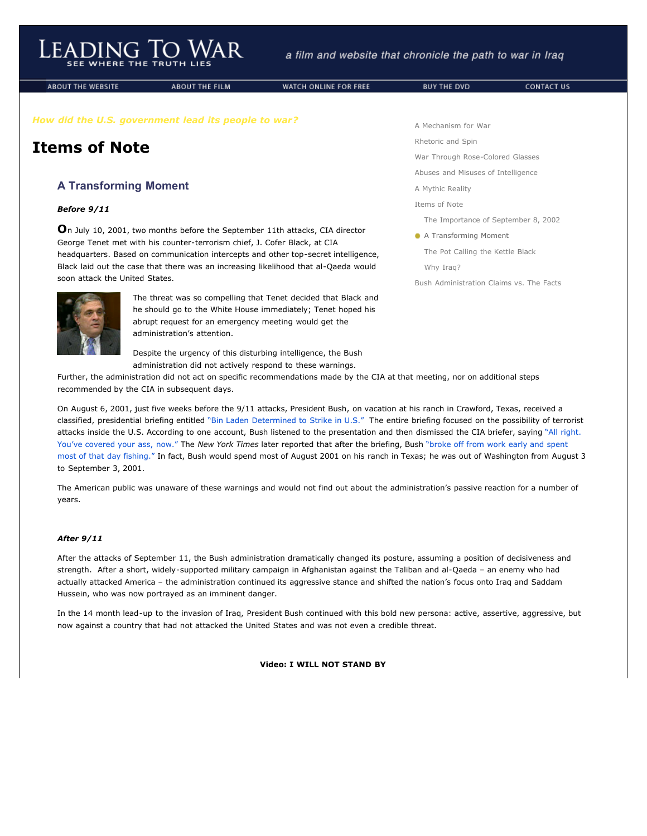**ABOUT THE WEBSITE** 

**ABOUT THE FILM** 

WATCH ONLINE FOR FREE

*How did the U.S. government lead its people to war?*

## **Items of Note**

## **A Transforming Moment**

## *Before 9/11*

**O**n July 10, 2001, two months before the September 11th attacks, CIA director George Tenet met with his counter-terrorism chief, J. Cofer Black, at CIA headquarters. Based on communication intercepts and other top-secret intelligence, Black laid out the case that there was an increasing likelihood that al-Qaeda would soon attack the United States.



The threat was so compelling that Tenet decided that Black and he should go to the White House immediately; Tenet hoped his abrupt request for an emergency meeting would get the administration's attention.

Despite the urgency of this disturbing intelligence, the Bush administration did not actively respond to these warnings.

Further, the administration did not act on specific recommendations made by the CIA at that meeting, nor on additional steps recommended by the CIA in subsequent days.

On August 6, 2001, just five weeks before the 9/11 attacks, President Bush, on vacation at his ranch in Crawford, Texas, received a classified, presidential briefing entitled ["Bin Laden Determined to Strike in U.S."](javascript:void(0)) The entire briefing focused on the possibility of terrorist attacks inside the U.S. [According to one account, Bush listened to the presentation and then dismissed the CIA briefer, saying "All right.](javascript:void(0)) You've covered your ass, now." The *New York Times* later reported that after the briefing, Bush "broke off from work early and spent most of that day fishing." [In fact, Bush would spend most of August 2001 on his ranch in Texas; he was out of Washington from Augu](javascript:void(0))st 3 to September 3, 2001.

The American public was unaware of these warnings and would not find out about the administration's passive reaction for a number of years.

## *After 9/11*

After the attacks of September 11, the Bush administration dramatically changed its posture, assuming a position of decisiveness and strength. After a short, widely-supported military campaign in Afghanistan against the Taliban and al-Qaeda – an enemy who had actually attacked America – the administration continued its aggressive stance and shifted the nation's focus onto Iraq and Saddam Hussein, who was now portrayed as an imminent danger.

In the 14 month lead-up to the invasion of Iraq, President Bush continued with this bold new persona: active, assertive, aggressive, but now against a country that had not attacked the United States and was not even a credible threat.

**Video: I WILL NOT STAND BY**

[A Mechanism for War](http://www.leadingtowar.com/mechanism_war.php)

[Rhetoric and Spin](http://www.leadingtowar.com/rhetoric_spin.php)

[War Through Rose-Colored Glasses](http://www.leadingtowar.com/war_rosecolored.php)

[Abuses and Misuses of Intelligence](http://www.leadingtowar.com/abuses_misuses.php)

[A Mythic Reality](http://www.leadingtowar.com/mythic_reality.php)

[Items of Note](http://www.leadingtowar.com/items_note.php)

[The Importance of September 8, 2002](http://www.leadingtowar.com/items_note.php)

A Transforming Moment

[The Pot Calling the Kettle Black](http://www.leadingtowar.com/items_note_kettle.php)

[Why Iraq?](http://www.leadingtowar.com/items_note_why.php)

[Bush Administration Claims vs. The Facts](http://www.leadingtowar.com/claims_facts.php)